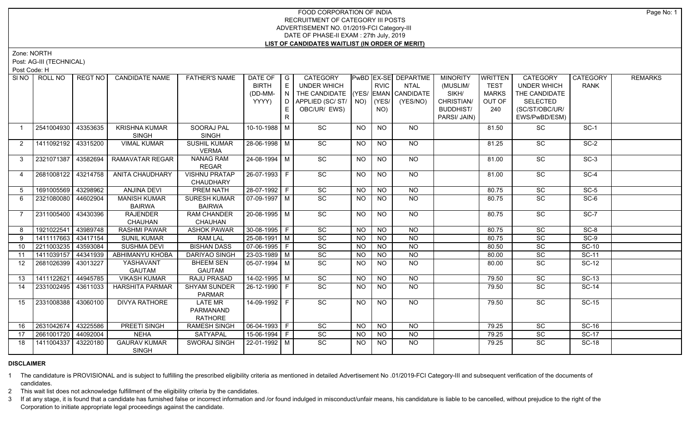Zone: NORTH

Post: AG-III (TECHNICAL)

Post Code: H

| SI <sub>NO</sub> | ROLL NO             | REGT NO  | <b>CANDIDATE NAME</b>  | <b>FATHER'S NAME</b> | DATE OF $ G $              |                                    | CATEGORY                           |           |             | PwBD EX-SE DEPARTME | <b>MINORITY</b>  | <b>WRITTEN</b> | CATEGORY           | CATEGORY     | <b>REMARKS</b> |
|------------------|---------------------|----------|------------------------|----------------------|----------------------------|------------------------------------|------------------------------------|-----------|-------------|---------------------|------------------|----------------|--------------------|--------------|----------------|
|                  |                     |          |                        |                      | <b>BIRTH</b>               | E                                  | UNDER WHICH                        |           | <b>RVIC</b> | <b>NTAL</b>         | (MUSLIM/         | <b>TEST</b>    | <b>UNDER WHICH</b> | <b>RANK</b>  |                |
|                  |                     |          |                        |                      | (DD-MM-                    | $\mathsf{F} \mathsf{N} \mathsf{F}$ | THE CANDIDATE (YES/ EMAN CANDIDATE |           |             |                     | SIKH/            | <b>MARKS</b>   | THE CANDIDATE      |              |                |
|                  |                     |          |                        |                      | YYYY)                      |                                    | D APPLIED (SC/ ST/ NO)             |           | (YES/       | (YES/NO)            | CHRISTIAN/       | OUT OF         | <b>SELECTED</b>    |              |                |
|                  |                     |          |                        |                      |                            |                                    | OBC/UR/ EWS)                       |           | NO)         |                     | <b>BUDDHIST/</b> | 240            | (SC/ST/OBC/UR/     |              |                |
|                  |                     |          |                        |                      |                            | R                                  |                                    |           |             |                     | PARSI/ JAIN)     |                | EWS/PwBD/ESM)      |              |                |
| $\overline{1}$   | 2541004930          | 43353635 | <b>KRISHNA KUMAR</b>   | SOORAJ PAL           | 10-10-1988 M               |                                    | SC                                 | <b>NO</b> | <b>NO</b>   | <b>NO</b>           |                  | 81.50          | SC                 | $SC-1$       |                |
|                  |                     |          | <b>SINGH</b>           | <b>SINGH</b>         |                            |                                    |                                    |           |             |                     |                  |                |                    |              |                |
| 2                | 1411092192 43315200 |          | <b>VIMAL KUMAR</b>     | <b>SUSHIL KUMAR</b>  | 28-06-1998   M             |                                    | SC                                 | NO.       | <b>NO</b>   | NO.                 |                  | 81.25          | SC                 | $SC-2$       |                |
|                  |                     |          |                        | <b>VERMA</b>         |                            |                                    |                                    |           |             |                     |                  |                |                    |              |                |
| $\mathbf{3}$     | 2321071387 43582694 |          | RAMAVATAR REGAR        | <b>NANAG RAM</b>     | 24-08-1994 M               |                                    | $\overline{SC}$                    | NO.       | <b>NO</b>   | NO                  |                  | 81.00          | SC                 | $SC-3$       |                |
|                  |                     |          |                        | <b>REGAR</b>         |                            |                                    |                                    |           |             |                     |                  |                |                    |              |                |
| $\overline{4}$   | 2681008122 43214758 |          | <b>ANITA CHAUDHARY</b> | <b>VISHNU PRATAP</b> | $26 - 07 - 1993$ F         |                                    | $\overline{SC}$                    | NO.       | <b>NO</b>   | $\overline{NO}$     |                  | 81.00          | $\overline{SC}$    | $SC-4$       |                |
|                  |                     |          |                        | CHAUDHARY            |                            |                                    |                                    |           |             |                     |                  |                |                    |              |                |
| 5 <sup>5</sup>   | 1691005569 43298962 |          | <b>ANJINA DEVI</b>     | <b>PREM NATH</b>     | 28-07-1992 F               |                                    | $\overline{SC}$                    | <b>NO</b> | <b>NO</b>   | $N$ O               |                  | 80.75          | $\overline{SC}$    | $SC-5$       |                |
| 6                | 2321080080 44602904 |          | <b>MANISH KUMAR</b>    | <b>SURESH KUMAR</b>  | $\sqrt{07-09-1997}$ M      |                                    | $\overline{SC}$                    | NO.       | <b>NO</b>   | NO                  |                  | 80.75          | SC                 | $SC-6$       |                |
|                  |                     |          | <b>BAIRWA</b>          | <b>BAIRWA</b>        |                            |                                    |                                    |           |             |                     |                  |                |                    |              |                |
| $\overline{7}$   | 2311005400 43430396 |          | <b>RAJENDER</b>        | <b>RAM CHANDER</b>   | 20-08-1995 M               |                                    | SC                                 | NO.       | $N$ O       | NO                  |                  | 80.75          | SC                 | $SC-7$       |                |
|                  |                     |          | CHAUHAN                | CHAUHAN              |                            |                                    |                                    |           |             |                     |                  |                |                    |              |                |
| 8                | 1921022541 43989748 |          | <b>RASHMI PAWAR</b>    | <b>ASHOK PAWAR</b>   | $30 - 08 - 1995$ F         |                                    | SC                                 | <b>NO</b> | <b>NO</b>   | <b>NO</b>           |                  | 80.75          | SC                 | $SC-8$       |                |
| 9                | 1411117663 43417154 |          | <b>SUNIL KUMAR</b>     | <b>RAM LAL</b>       | $25-08-1991$ M             |                                    | SC                                 | <b>NO</b> | <b>NO</b>   | <b>NO</b>           |                  | 80.75          | SC                 | $SC-9$       |                |
| 10               | 2211003235 43593084 |          | <b>SUSHMA DEVI</b>     | <b>BISHAN DASS</b>   | $\boxed{07 - 06 - 1995}$ F |                                    | SC                                 | <b>NO</b> | <b>NO</b>   | $\overline{N}$      |                  | 80.50          | SC                 | $SC-10$      |                |
| 11               | 1411039157 44341939 |          | <b>ABHIMANYU KHOBA</b> | <b>DARIYAO SINGH</b> | 23-03-1989 M               |                                    | SC                                 | <b>NO</b> | <b>NO</b>   | <b>NO</b>           |                  | 80.00          | SC                 | <b>SC-11</b> |                |
| 12               | 2681026399 43013227 |          | YASHAVANT              | <b>BHEEM SEN</b>     | $05-07-1994$ M             |                                    | SC                                 | <b>NO</b> | <b>NO</b>   | <b>NO</b>           |                  | 80.00          | SC                 | <b>SC-12</b> |                |
|                  |                     |          | <b>GAUTAM</b>          | <b>GAUTAM</b>        |                            |                                    |                                    |           |             |                     |                  |                |                    |              |                |
| 13               | 1411122621          | 44945785 | <b>VIKASH KUMAR</b>    | RAJU PRASAD          | $14 - 02 - 1995$ M         |                                    | SC                                 | <b>NO</b> | <b>NO</b>   | <b>NO</b>           |                  | 79.50          | SC                 | <b>SC-13</b> |                |
| 14               | 2331002495 43611033 |          | <b>HARSHITA PARMAR</b> | <b>SHYAM SUNDER</b>  | 26-12-1990 F               |                                    | $\overline{SC}$                    | NO.       | NO.         | <b>NO</b>           |                  | 79.50          | $\overline{SC}$    | $SC-14$      |                |
|                  |                     |          |                        | <b>PARMAR</b>        |                            |                                    |                                    |           |             |                     |                  |                |                    |              |                |
| 15               | 2331008388 43060100 |          | <b>DIVYA RATHORE</b>   | <b>LATE MR</b>       | $14-09-1992$ F             |                                    | $\overline{SC}$                    | <b>NO</b> | <b>NO</b>   | $\overline{NO}$     |                  | 79.50          | $\overline{SC}$    | $SC-15$      |                |
|                  |                     |          |                        | PARMANAND            |                            |                                    |                                    |           |             |                     |                  |                |                    |              |                |
|                  |                     |          |                        | <b>RATHORE</b>       |                            |                                    |                                    |           |             |                     |                  |                |                    |              |                |
| 16               | 2631042674          | 43225586 | <b>PREETI SINGH</b>    | <b>RAMESH SINGH</b>  | 06-04-1993 F               |                                    | $\overline{SC}$                    | <b>NO</b> | NO          | NO                  |                  | 79.25          | SC                 | $SC-16$      |                |
| 17               | 2661001720          | 44092004 | <b>NEHA</b>            | <b>SATYAPAL</b>      | $15-06-1994$ F             |                                    | SC                                 | <b>NO</b> | <b>NO</b>   | <b>NO</b>           |                  | 79.25          | SC                 | <b>SC-17</b> |                |
| 18               | 1411004337 43220180 |          | <b>GAURAV KUMAR</b>    | <b>SWORAJ SINGH</b>  | 22-01-1992   M             |                                    | $\overline{SC}$                    | <b>NO</b> | NO.         | <b>NO</b>           |                  | 79.25          | <b>SC</b>          | $SC-18$      |                |
|                  |                     |          | <b>SINGH</b>           |                      |                            |                                    |                                    |           |             |                     |                  |                |                    |              |                |

## **DISCLAIMER**

1 The candidature is PROVISIONAL and is subject to fulfilling the prescribed eligibility criteria as mentioned in detailed Advertisement No .01/2019-FCI Category-III and subsequent verification of the documents of candidates.

2 This wait list does not acknowledge fulfillment of the eligibility criteria by the candidates.

3 If at any stage, it is found that a candidate has furnished false or incorrect information and /or found indulged in misconduct/unfair means, his candidature is liable to be cancelled, without prejudice to the right of t Corporation to initiate appropriate legal proceedings against the candidate.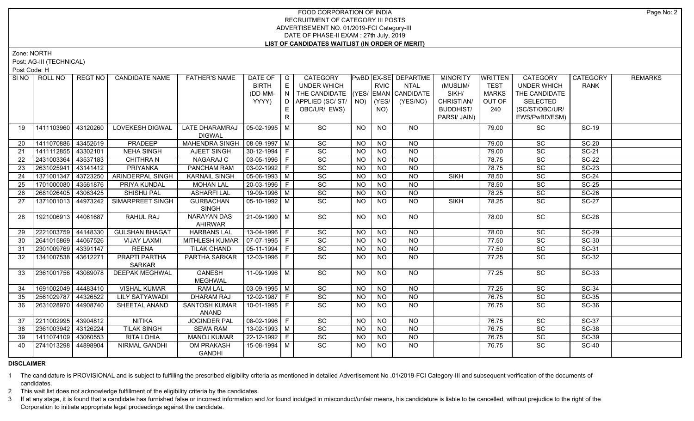Zone: NORTH

Post: AG-III (TECHNICAL)

Post Code: H

| SI NO | ROLL NO             | REGT NO  | <b>CANDIDATE NAME</b> | <b>FATHER'S NAME</b>  | DATE OF                    | I G            | CATEGORY                           |                 |                 | PwBD EX-SE DEPARTME | <b>MINORITY</b>  | WRITTEN      | <b>CATEGORY</b>    | <b>CATEGORY</b> | <b>REMARKS</b> |
|-------|---------------------|----------|-----------------------|-----------------------|----------------------------|----------------|------------------------------------|-----------------|-----------------|---------------------|------------------|--------------|--------------------|-----------------|----------------|
|       |                     |          |                       |                       | <b>BIRTH</b>               | E              | UNDER WHICH                        |                 | <b>RVIC</b>     | NTAL                | (MUSLIM/         | <b>TEST</b>  | <b>UNDER WHICH</b> | <b>RANK</b>     |                |
|       |                     |          |                       |                       | (DD-MM-                    | $\overline{N}$ | THE CANDIDATE (YES/ EMAN CANDIDATE |                 |                 |                     | SIKH/            | <b>MARKS</b> | THE CANDIDATE      |                 |                |
|       |                     |          |                       |                       | YYYY)                      |                | D   APPLIED (SC/ ST/   NO)         |                 | (YES/           | (YES/NO)            | CHRISTIAN/       | OUT OF       | <b>SELECTED</b>    |                 |                |
|       |                     |          |                       |                       |                            | E.             | OBC/UR/ EWS)                       |                 | NO)             |                     | <b>BUDDHIST/</b> | 240          | (SC/ST/OBC/UR/     |                 |                |
|       |                     |          |                       |                       |                            | R.             |                                    |                 |                 |                     | PARSI/ JAIN)     |              | EWS/PwBD/ESM)      |                 |                |
| 19    | 1411103960 43120260 |          | LOVEKESH DIGWAL       | LATE DHARAMRAJ        | 05-02-1995   M             |                | SC                                 | <b>NO</b>       | <b>NO</b>       | NO                  |                  | 79.00        | SC                 | <b>SC-19</b>    |                |
|       |                     |          |                       | <b>DIGWAL</b>         |                            |                |                                    |                 |                 |                     |                  |              |                    |                 |                |
| 20    | 1411070886 43452619 |          | PRADEEP               | <b>MAHENDRA SINGH</b> | $\vert$ 08-09-1997   M     |                | SC                                 | <b>NO</b>       | <b>NO</b>       | <b>NO</b>           |                  | 79.00        | SC                 | <b>SC-20</b>    |                |
| 21    | 1411112855          | 43302101 | <b>NEHA SINGH</b>     | AJEET SINGH           | 30-12-1994 F               |                | SC                                 | <b>NO</b>       | <b>NO</b>       | <b>NO</b>           |                  | 79.00        | SC                 | <b>SC-21</b>    |                |
| 22    | 2431003364          | 43537183 | <b>CHITHRA N</b>      | NAGARAJ C             | 03-05-1996   F             |                | $\overline{SC}$                    | <b>NO</b>       | <b>NO</b>       | <b>NO</b>           |                  | 78.75        | SC                 | <b>SC-22</b>    |                |
| 23    | 2631025941          | 43141412 | <b>PRIYANKA</b>       | <b>PANCHAM RAM</b>    | 03-02-1992 F               |                | SC                                 | <b>NO</b>       | <b>NO</b>       | <b>NO</b>           |                  | 78.75        | SC                 | <b>SC-23</b>    |                |
| 24    | 1371001347 43723250 |          | ARINDERPAL SINGH      | <b>KARNAIL SINGH</b>  | 05-06-1993 M               |                | SC                                 | <b>NO</b>       | <b>NO</b>       | <b>NO</b>           | <b>SIKH</b>      | 78.50        | SC                 | $SC-24$         |                |
| 25    | 1701000080          | 43561876 | PRIYA KUNDAL          | <b>MOHAN LAL</b>      | 20-03-1996 F               |                | $\operatorname{\textsf{SC}}$       | <b>NO</b>       | <b>NO</b>       | <b>NO</b>           |                  | 78.50        | SC                 | <b>SC-25</b>    |                |
| 26    | 2681026405          | 43063425 | SHISHU PAL            | <b>ASHARFI LAL</b>    | 19-09-1996 M               |                | SC                                 | <b>NO</b>       | <b>NO</b>       | <b>NO</b>           |                  | 78.25        | SC                 | <b>SC-26</b>    |                |
| 27    | 1371001013          | 44973242 | SIMARPREET SINGH      | <b>GURBACHAN</b>      | $05-10-1992$ M             |                | SC                                 | <b>NO</b>       | <b>NO</b>       | <b>NO</b>           | <b>SIKH</b>      | 78.25        | <b>SC</b>          | <b>SC-27</b>    |                |
|       |                     |          |                       | <b>SINGH</b>          |                            |                |                                    |                 |                 |                     |                  |              |                    |                 |                |
| 28    | 1921006913 44061687 |          | RAHUL RAJ             | <b>NARAYAN DAS</b>    | 21-09-1990 M               |                | $\overline{SC}$                    | NO.             | <b>NO</b>       | NO                  |                  | 78.00        | <b>SC</b>          | $SC-28$         |                |
|       |                     |          |                       | AHIRWAR               |                            |                |                                    |                 |                 |                     |                  |              |                    |                 |                |
| 29    | 2221003759 44148330 |          | <b>GULSHAN BHAGAT</b> | <b>HARBANS LAL</b>    | $13 - 04 - 1996$ F         |                | $\overline{SC}$                    | $\overline{NO}$ | $\overline{NO}$ | $\overline{NO}$     |                  | 78.00        | $\overline{SC}$    | $SC-29$         |                |
| 30    | 2641015869 44067526 |          | <b>VIJAY LAXMI</b>    | <b>MITHLESH KUMAR</b> | $\boxed{07-07-1995}$ F     |                | $\overline{SC}$                    | N <sub>O</sub>  | N <sub>O</sub>  | $\overline{NO}$     |                  | 77.50        | $\overline{SC}$    | $SC-30$         |                |
| 31    | 2301009769 43391147 |          | <b>REENA</b>          | <b>TILAK CHAND</b>    | $\boxed{05 - 11 - 1994}$ F |                | $\overline{SC}$                    | NO.             | <b>NO</b>       | <b>NO</b>           |                  | 77.50        | $\overline{SC}$    | $SC-31$         |                |
| 32    | 1341007538 43612271 |          | PRAPTI PARTHA         | PARTHA SARKAR         | 12-03-1996 F               |                | $\overline{SC}$                    | NO.             | <b>NO</b>       | <b>NO</b>           |                  | 77.25        | $\overline{SC}$    | $SC-32$         |                |
|       |                     |          | <b>SARKAR</b>         |                       |                            |                |                                    |                 |                 |                     |                  |              |                    |                 |                |
| 33    | 2361001756          | 43089078 | <b>DEEPAK MEGHWAL</b> | <b>GANESH</b>         | 11-09-1996   M             |                | SC                                 | <b>NO</b>       | <b>NO</b>       | <b>NO</b>           |                  | 77.25        | SC                 | SC-33           |                |
|       |                     |          |                       | <b>MEGHWAL</b>        |                            |                |                                    |                 |                 |                     |                  |              |                    |                 |                |
| 34    | 1691002049 44483410 |          | <b>VISHAL KUMAR</b>   | <b>RAM LAL</b>        | $03-09-1995$ M             |                | SC                                 | <b>NO</b>       | <b>NO</b>       | <b>NO</b>           |                  | 77.25        | SC                 | <b>SC-34</b>    |                |
| 35    | 2561029787 44326522 |          | <b>LILY SATYAWADI</b> | <b>DHARAM RAJ</b>     | $12 - 02 - 1987$ F         |                | SC                                 | <b>NO</b>       | <b>NO</b>       | <b>NO</b>           |                  | 76.75        | SC                 | <b>SC-35</b>    |                |
| 36    | 2631028970 44908740 |          | SHEETAL ANAND         | SANTOSH KUMAR         | 10-01-1995 F               |                | SC                                 | <b>NO</b>       | NO.             | <b>NO</b>           |                  | 76.75        | SC                 | SC-36           |                |
|       |                     |          |                       | ANAND                 |                            |                |                                    |                 |                 |                     |                  |              |                    |                 |                |
| 37    | 2211002995          | 43904812 | <b>NITIKA</b>         | JOGINDER PAL          | 08-02-1996 F               |                | SC                                 | NO.             | <b>NO</b>       | <b>NO</b>           |                  | 76.75        | SC                 | <b>SC-37</b>    |                |
| 38    | 2361003942 43126224 |          | <b>TILAK SINGH</b>    | <b>SEWA RAM</b>       | 13-02-1993 M               |                | $\overline{SC}$                    | <b>NO</b>       | <b>NO</b>       | <b>NO</b>           |                  | 76.75        | SC                 | <b>SC-38</b>    |                |
| 39    | 1411074109 43060553 |          | RITA LOHIA            | <b>MANOJ KUMAR</b>    | 22-12-1992 F               |                | SC                                 | <b>NO</b>       | <b>NO</b>       | <b>NO</b>           |                  | 76.75        | SC                 | <b>SC-39</b>    |                |
| 40    | 2741013298          | 44898904 | NIRMAL GANDHI         | OM PRAKASH            | 15-08-1994   M             |                | SC                                 | NO.             | NO.             | <b>NO</b>           |                  | 76.75        | <b>SC</b>          | <b>SC-40</b>    |                |
|       |                     |          |                       | <b>GANDHI</b>         |                            |                |                                    |                 |                 |                     |                  |              |                    |                 |                |

#### **DISCLAIMER**

1 The candidature is PROVISIONAL and is subject to fulfilling the prescribed eligibility criteria as mentioned in detailed Advertisement No .01/2019-FCI Category-III and subsequent verification of the documents of candidates.

2 This wait list does not acknowledge fulfillment of the eligibility criteria by the candidates.

3 If at any stage, it is found that a candidate has furnished false or incorrect information and /or found indulged in misconduct/unfair means, his candidature is liable to be cancelled, without prejudice to the right of t Corporation to initiate appropriate legal proceedings against the candidate.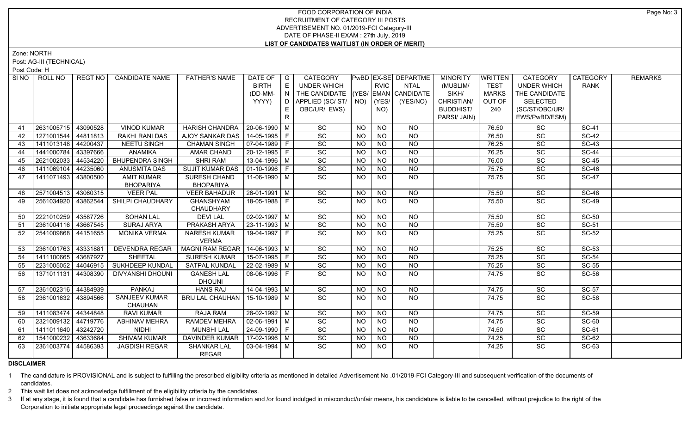Zone: NORTH

Post: AG-III (TECHNICAL)

Post Code: H

| SI NO I         | ROLL NO             | REGT NO I | <b>CANDIDATE NAME</b>                 | <b>FATHER'S NAME</b>               | DATE OF                | $\overline{\phantom{a}}$ $\overline{\phantom{a}}$ | <b>CATEGORY</b>     |                 |                 | PwBD EX-SE DEPARTME | <b>MINORITY</b>  | <b>WRITTEN</b> | <b>CATEGORY</b>    | <b>CATEGORY</b> | <b>REMARKS</b> |
|-----------------|---------------------|-----------|---------------------------------------|------------------------------------|------------------------|---------------------------------------------------|---------------------|-----------------|-----------------|---------------------|------------------|----------------|--------------------|-----------------|----------------|
|                 |                     |           |                                       |                                    | <b>BIRTH</b>           | E                                                 | <b>UNDER WHICH</b>  |                 | <b>RVIC</b>     | <b>NTAL</b>         | (MUSLIM/         | <b>TEST</b>    | <b>UNDER WHICH</b> | <b>RANK</b>     |                |
|                 |                     |           |                                       |                                    | (DD-MM-                | $\overline{N}$                                    | THE CANDIDATE (YES/ |                 |                 | EMAN CANDIDATE      | SIKH/            | <b>MARKS</b>   | THE CANDIDATE      |                 |                |
|                 |                     |           |                                       |                                    | YYYY)                  | D                                                 | APPLIED (SC/ST/ NO) |                 | $ $ (YES/       | (YES/NO)            | CHRISTIAN/       | OUT OF         | <b>SELECTED</b>    |                 |                |
|                 |                     |           |                                       |                                    |                        | E.                                                | OBC/UR/ EWS)        |                 | NO)             |                     | <b>BUDDHIST/</b> | 240            | (SC/ST/OBC/UR/     |                 |                |
|                 |                     |           |                                       |                                    |                        | $\mathsf{R}$                                      |                     |                 |                 |                     | PARSI/ JAIN)     |                | EWS/PwBD/ESM)      |                 |                |
| 41              | 2631005715          | 43090528  | <b>VINOD KUMAR</b>                    | <b>HARISH CHANDRA</b>              | 20-06-1990 M           |                                                   | <b>SC</b>           | <b>NO</b>       | <b>NO</b>       | <b>NO</b>           |                  | 76.50          | <b>SC</b>          | <b>SC-41</b>    |                |
| 42              | 1271001544          | 44811813  | <b>RAKHI RANI DAS</b>                 | AJOY SANKAR DAS                    | 14-05-1995 F           |                                                   | SC                  | <b>NO</b>       | <b>NO</b>       | $N$ O               |                  | 76.50          | SC                 | <b>SC-42</b>    |                |
| 43              | 1411013148          | 44200437  | <b>NEETU SINGH</b>                    | <b>CHAMAN SINGH</b>                | $07-04-1989$ F         |                                                   | SC                  | <b>NO</b>       | N <sub>O</sub>  | $N$ O               |                  | 76.25          | SC                 | $SC-43$         |                |
| 44              | 1441000784          | 43397666  | <b>ANAMIKA</b>                        | <b>AMAR CHAND</b>                  | 20-12-1995 F           |                                                   | SC                  | $N$ O           | NO              | $N$ O               |                  | 76.25          | SC                 | <b>SC-44</b>    |                |
| 45              | 2621002033          | 44534220  | <b>BHUPENDRA SINGH</b>                | <b>SHRI RAM</b>                    | 13-04-1996 M           |                                                   | SC                  | <b>NO</b>       | NO              | $N$ O               |                  | 76.00          | SC                 | <b>SC-45</b>    |                |
| 46              | 1411069104          | 44235060  | <b>ANUSMITA DAS</b>                   | <b>SUJIT KUMAR DAS</b>             | $\boxed{01-10-1996}$ F |                                                   | SC                  | <b>NO</b>       | NO              | $N$ O               |                  | 75.75          | SC                 | <b>SC-46</b>    |                |
| 47              | 1411071493          | 43800500  | <b>AMIT KUMAR</b><br><b>BHOPARIYA</b> | SURESH CHAND<br><b>BHOPARIYA</b>   | 11-06-1990 M           |                                                   | SC                  | <b>NO</b>       | <b>NO</b>       | $N$ O               |                  | 75.75          | SC                 | <b>SC-47</b>    |                |
| 48              | 2571004513          | 43060315  | <b>VEER PAL</b>                       | <b>VEER BAHADUR</b>                | 26-01-1991   M         |                                                   | SC                  | <b>NO</b>       | <b>NO</b>       | <b>NO</b>           |                  | 75.50          | SC                 | <b>SC-48</b>    |                |
| 49              | 2561034920          | 43862544  | SHILPI CHAUDHARY                      | <b>GHANSHYAM</b>                   | 18-05-1988 F           |                                                   | SC                  | <b>NO</b>       | <b>NO</b>       | NO                  |                  | 75.50          | <b>SC</b>          | <b>SC-49</b>    |                |
|                 |                     |           |                                       | CHAUDHARY                          |                        |                                                   |                     |                 |                 |                     |                  |                |                    |                 |                |
| 50              | 2221010259          | 43587726  | <b>SOHAN LAL</b>                      | <b>DEVILAL</b>                     | $02 - 02 - 1997$ M     |                                                   | $\overline{SC}$     | <b>NO</b>       | $\overline{NO}$ | $\overline{NQ}$     |                  | 75.50          | $\overline{SC}$    | $SC-50$         |                |
| 51              | 2361004116 43667545 |           | <b>SURAJ ARYA</b>                     | <b>PRAKASH ARYA</b>                | $23 - 11 - 1993$ M     |                                                   | SC                  | $\overline{NO}$ | $\overline{NQ}$ | N <sub>O</sub>      |                  | 75.50          | SC                 | $SC-51$         |                |
| 52 <sub>2</sub> | 2541009868 44151655 |           | <b>MONIKA VERMA</b>                   | <b>NARESH KUMAR</b>                | 19-04-1997 F           |                                                   | SC                  | <b>NO</b>       | <b>NO</b>       | $\overline{NQ}$     |                  | 75.25          | $\overline{SC}$    | $SC-52$         |                |
|                 |                     |           |                                       | <b>VERMA</b>                       |                        |                                                   |                     |                 |                 |                     |                  |                |                    |                 |                |
| 53              | 2361001763 43331881 |           | <b>DEVENDRA REGAR</b>                 | MAGNI RAM REGAR                    | $14-06-1993$ M         |                                                   | $\overline{SC}$     | <b>NO</b>       | <b>NO</b>       | <b>NO</b>           |                  | 75.25          | $\overline{SC}$    | $SC-53$         |                |
| 54              | 1411100665 43687927 |           | SHEETAL                               | <b>SURESH KUMAR</b>                | 15-07-1995 F           |                                                   | $\overline{SC}$     | <b>NO</b>       | <b>NO</b>       | N <sub>O</sub>      |                  | 75.25          | SC                 | $SC-54$         |                |
| 55              | 2231005052          | 44046915  | SUKHDEEP KUNDAL                       | SATPAL KUNDAL                      | $22 - 02 - 1989$ M     |                                                   | $\overline{SC}$     | <b>NO</b>       | N <sub>O</sub>  | N <sub>O</sub>      |                  | 75.25          | $\overline{SC}$    | $SC-55$         |                |
| 56              | 1371011131          | 44308390  | <b>DIVYANSHI DHOUNI</b>               | <b>GANESH LAL</b>                  | 08-06-1996 F           |                                                   | <b>SC</b>           | NO.             | NO.             | <b>NO</b>           |                  | 74.75          | SC.                | SC-56           |                |
|                 |                     |           |                                       | <b>DHOUNI</b>                      |                        |                                                   |                     |                 |                 |                     |                  |                |                    |                 |                |
| 57              | 2361002316 44384939 |           | <b>PANKAJ</b>                         | <b>HANS RAJ</b>                    | $14 - 04 - 1993$ M     |                                                   | $\overline{SC}$     | $N$ O           | $N$ O           | N <sub>O</sub>      |                  | 74.75          | $\overline{SC}$    | $SC-57$         |                |
| 58              | 2361001632 43894566 |           | <b>SANJEEV KUMAR</b>                  | BRIJ LAL CHAUHAN                   | $15-10-1989$ M         |                                                   | $\overline{SC}$     | <b>NO</b>       | <b>NO</b>       | N <sub>O</sub>      |                  | 74.75          | $\overline{SC}$    | $SC-58$         |                |
|                 |                     |           | CHAUHAN                               |                                    |                        |                                                   |                     |                 |                 |                     |                  |                |                    |                 |                |
| 59              | 1411083474          | 44344848  | <b>RAVI KUMAR</b>                     | RAJA RAM                           | 28-02-1992 M           |                                                   | SC                  | NO.             | <b>NO</b>       | <b>NO</b>           |                  | 74.75          | SC                 | <b>SC-59</b>    |                |
| 60              | 2321009132          | 44719776  | <b>ABHINAV MEHRA</b>                  | <b>RAMDEV MEHRA</b>                | $02-06-1991$ M         |                                                   | SC                  | <b>NO</b>       | <b>NO</b>       | $N$ O               |                  | 74.75          | SC                 | <b>SC-60</b>    |                |
| 61              | 1411011640 43242720 |           | <b>NIDHI</b>                          | <b>MUNSHI LAL</b>                  | 24-09-1990 F           |                                                   | SC                  | <b>NO</b>       | NO              | $N$ O               |                  | 74.50          | SC                 | <b>SC-61</b>    |                |
| 62              | 1541000232 43633684 |           | <b>SHIVAM KUMAR</b>                   | DAVINDER KUMAR                     | 17-02-1996 M           |                                                   | SC                  | <b>NO</b>       | <b>NO</b>       | <b>NO</b>           |                  | 74.25          | SC                 | SC-62           |                |
| 63              | 2361003774          | 44586393  | <b>JAGDISH REGAR</b>                  | <b>SHANKAR LAL</b><br><b>REGAR</b> | $03-04-1994$ M         |                                                   | SC                  | <b>NO</b>       | <b>NO</b>       | <b>NO</b>           |                  | 74.25          | SC                 | SC-63           |                |

# **DISCLAIMER**

1 The candidature is PROVISIONAL and is subject to fulfilling the prescribed eligibility criteria as mentioned in detailed Advertisement No .01/2019-FCI Category-III and subsequent verification of the documents of candidates.

2 This wait list does not acknowledge fulfillment of the eligibility criteria by the candidates.

3 If at any stage, it is found that a candidate has furnished false or incorrect information and /or found indulged in misconduct/unfair means, his candidature is liable to be cancelled, without prejudice to the right of t Corporation to initiate appropriate legal proceedings against the candidate.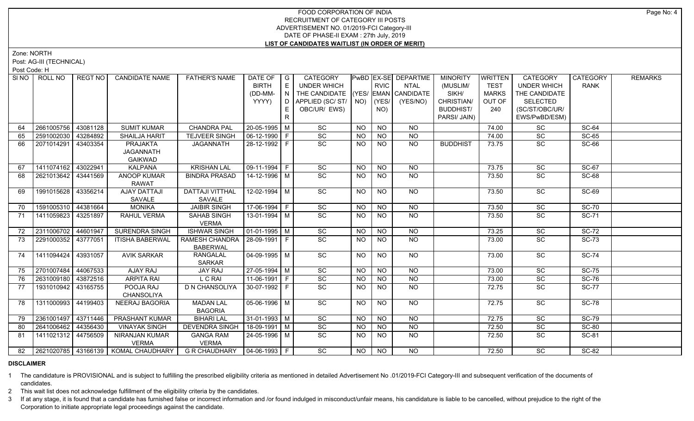Zone: NORTH

Post: AG-III (TECHNICAL)

Post Code: H

| SI NO I | ROLL NO             | REGT NO  | <b>CANDIDATE NAME</b>                    | <b>FATHER'S NAME</b>               | DATE OF   G            |                                                | <b>CATEGORY</b>                    |                |                  | <b>PwBD EX-SE DEPARTME</b> | <b>MINORITY</b>  | WRITTEN      | <b>CATEGORY</b>    | CATEGORY     | <b>REMARKS</b> |
|---------|---------------------|----------|------------------------------------------|------------------------------------|------------------------|------------------------------------------------|------------------------------------|----------------|------------------|----------------------------|------------------|--------------|--------------------|--------------|----------------|
|         |                     |          |                                          |                                    | <b>BIRTH</b>           | E                                              | <b>UNDER WHICH</b>                 |                | <b>RVIC</b>      | <b>NTAL</b>                | (MUSLIM/         | <b>TEST</b>  | <b>UNDER WHICH</b> | <b>RANK</b>  |                |
|         |                     |          |                                          |                                    | (DD-MM-                | $\mathsf{I} \cdot \mathsf{N} \cdot \mathsf{I}$ | THE CANDIDATE (YES/ EMAN CANDIDATE |                |                  |                            | SIKH/            | <b>MARKS</b> | THE CANDIDATE      |              |                |
|         |                     |          |                                          |                                    | YYYY)                  | D                                              | APPLIED (SC/ ST/   NO)   (YES/     |                |                  | (YES/NO)                   | CHRISTIAN/       | OUT OF       | <b>SELECTED</b>    |              |                |
|         |                     |          |                                          |                                    |                        | E.                                             | OBC/UR/ EWS)                       |                | NO)              |                            | <b>BUDDHIST/</b> | 240          | (SC/ST/OBC/UR/     |              |                |
|         |                     |          |                                          |                                    |                        | $\mathsf{R}$                                   |                                    |                |                  |                            | PARSI/ JAIN)     |              | EWS/PwBD/ESM)      |              |                |
| 64      | 2661005756          | 43081128 | <b>SUMIT KUMAR</b>                       | <b>CHANDRA PAL</b>                 | 20-05-1995 M           |                                                | SC                                 | <b>NO</b>      | <b>NO</b>        | <b>NO</b>                  |                  | 74.00        | SC                 | <b>SC-64</b> |                |
| 65      | 2591002030          | 43284892 | <b>SHAILJA HARIT</b>                     | <b>TEJVEER SINGH</b>               | $06-12-1990$   F       |                                                | SC                                 | <b>NO</b>      | <b>NO</b>        | <b>NO</b>                  |                  | 74.00        | SC                 | <b>SC-65</b> |                |
| 66      | 2071014291          | 43403354 | PRAJAKTA                                 | <b>JAGANNATH</b>                   | 28-12-1992 F           |                                                | SC                                 | NO             | N <sub>O</sub>   | $N$ O                      | <b>BUDDHIST</b>  | 73.75        | SC                 | <b>SC-66</b> |                |
|         |                     |          | <b>JAGANNATH</b>                         |                                    |                        |                                                |                                    |                |                  |                            |                  |              |                    |              |                |
|         |                     |          | <b>GAIKWAD</b>                           |                                    |                        |                                                |                                    |                |                  |                            |                  |              |                    |              |                |
| 67      | 1411074162          | 43022941 | <b>KALPANA</b>                           | <b>KRISHAN LAL</b>                 | $09-11-1994$ F         |                                                | $\overline{SC}$                    | <b>NO</b>      | <b>NO</b>        | <b>NO</b>                  |                  | 73.75        | SC                 | SC-67        |                |
| 68      | 2621013642 43441569 |          | <b>ANOOP KUMAR</b><br><b>RAWAT</b>       | <b>BINDRA PRASAD</b>               | $14 - 12 - 1996$ M     |                                                | $\overline{SC}$                    | NO.            | <b>NO</b>        | <b>NO</b>                  |                  | 73.50        | SC                 | <b>SC-68</b> |                |
| 69      | 1991015628          | 43356214 | <b>AJAY DATTAJI</b>                      | DATTAJI VITTHAL                    | 12-02-1994   M         |                                                | SC                                 | NO.            | <b>NO</b>        | <b>NO</b>                  |                  | 73.50        | SC                 | <b>SC-69</b> |                |
|         |                     |          | SAVALE                                   | SAVALE                             |                        |                                                |                                    |                |                  |                            |                  |              |                    |              |                |
| 70      | 1591005310 44381664 |          | <b>MONIKA</b>                            | <b>JAIBIR SINGH</b>                | 17-06-1994 F           |                                                | SC                                 | <b>NO</b>      | <b>NO</b>        | <b>NO</b>                  |                  | 73.50        | <b>SC</b>          | <b>SC-70</b> |                |
| 71      | 1411059823          | 43251897 | RAHUL VERMA                              | SAHAB SINGH<br><b>VERMA</b>        | 13-01-1994 M           |                                                | SC                                 | NO.            | <b>NO</b>        | <b>NO</b>                  |                  | 73.50        | SC                 | <b>SC-71</b> |                |
| 72      | 2311006702 44601947 |          | <b>SURENDRA SINGH</b>                    | <b>ISHWAR SINGH</b>                | $\boxed{01-01-1995}$ M |                                                | $\overline{SC}$                    | <b>NO</b>      | <b>NO</b>        | $\overline{NQ}$            |                  | 73.25        | SC                 | $SC-72$      |                |
| 73      | 2291000352 43777051 |          | <b>ITISHA BABERWAL</b>                   | RAMESH CHANDRA   28-09-1991   F    |                        |                                                | SC                                 | NO.            | <b>NO</b>        | <b>NO</b>                  |                  | 73.00        | SC                 | <b>SC-73</b> |                |
|         |                     |          |                                          | <b>BABERWAL</b>                    |                        |                                                |                                    |                |                  |                            |                  |              |                    |              |                |
| 74      | 1411094424          | 43931057 | <b>AVIK SARKAR</b>                       | <b>RANGALAL</b><br><b>SARKAR</b>   | 04-09-1995   M         |                                                | SC                                 | NO.            | NO.              | NO.                        |                  | 73.00        | SC                 | <b>SC-74</b> |                |
| 75      | 2701007484 44067533 |          | AJAY RAJ                                 | <b>JAY RAJ</b>                     | 27-05-1994 M           |                                                | $\overline{SC}$                    | <b>NO</b>      | $N$ O            | <b>NO</b>                  |                  | 73.00        | $\overline{SC}$    | <b>SC-75</b> |                |
| 76      | 2631009180          | 43872516 | <b>ARPITA RAI</b>                        | L C RAI                            | $11-06-1991$ F         |                                                | $\overline{SC}$                    | <b>NO</b>      | <b>NO</b>        | $N$ O                      |                  | 73.00        | SC                 | <b>SC-76</b> |                |
| 77      | 1931010942 43165755 |          | POOJA RAJ<br>CHANSOLIYA                  | <b>D N CHANSOLIYA</b>              | $30-07-1992$ F         |                                                | $\overline{SC}$                    | <b>NO</b>      | <b>NO</b>        | N <sub>O</sub>             |                  | 72.75        | $\overline{SC}$    | <b>SC-77</b> |                |
| 78      | 1311000993          | 44199403 | NEERAJ BAGORIA                           | <b>MADAN LAL</b><br><b>BAGORIA</b> | $05-06-1996$ M         |                                                | SC                                 | <b>NO</b>      | N <sub>O</sub>   | $N$ O                      |                  | 72.75        | SC                 | $SC-78$      |                |
| 79      | 2361001497 43711446 |          | PRASHANT KUMAR                           | <b>BIHARI LAL</b>                  | $31-01-1993$ M         |                                                | SC                                 | <b>NO</b>      | <b>NO</b>        | <b>NO</b>                  |                  | 72.75        | SC                 | <b>SC-79</b> |                |
| 80      | 2641006462 44356430 |          | <b>VINAYAK SINGH</b>                     | <b>DEVENDRA SINGH</b>              | 18-09-1991 M           |                                                | SC                                 | <b>NO</b>      | <b>NO</b>        | <b>NO</b>                  |                  | 72.50        | SC                 | <b>SC-80</b> |                |
| 81      | 1411021312 44756509 |          | NIRANJAN KUMAR<br><b>VERMA</b>           | <b>GANGA RAM</b><br><b>VERMA</b>   | 24-05-1996 M           |                                                | <b>SC</b>                          | NO.            | <b>NO</b>        | <b>NO</b>                  |                  | 72.50        | SC.                | SC-81        |                |
|         |                     |          | 82 2621020785 43166139   KOMAL CHAUDHARY | GR CHAUDHARY   04-06-1993   F      |                        |                                                | <b>SC</b>                          | N <sub>O</sub> | $N$ <sup>O</sup> | <b>NO</b>                  |                  | 72.50        | $\overline{SC}$    | SC-82        |                |
|         |                     |          |                                          |                                    |                        |                                                |                                    |                |                  |                            |                  |              |                    |              |                |

#### **DISCLAIMER**

1 The candidature is PROVISIONAL and is subject to fulfilling the prescribed eligibility criteria as mentioned in detailed Advertisement No .01/2019-FCI Category-III and subsequent verification of the documents of candidates.

2 This wait list does not acknowledge fulfillment of the eligibility criteria by the candidates.

3 If at any stage, it is found that a candidate has furnished false or incorrect information and /or found indulged in misconduct/unfair means, his candidature is liable to be cancelled, without prejudice to the right of t Corporation to initiate appropriate legal proceedings against the candidate.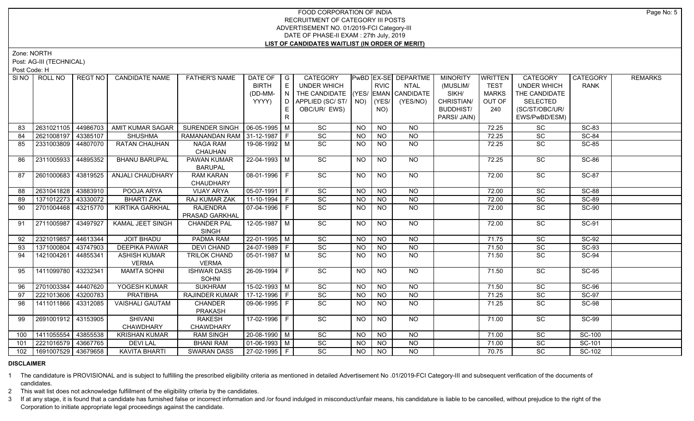Zone: NORTH

Post: AG-III (TECHNICAL)

Post Code: H

| SI NO | ROLL NO             | REGT NO  | <b>CANDIDATE NAME</b>   | <b>FATHER'S NAME</b>            | DATE OF        | $\overline{\phantom{a}}$ G | <b>CATEGORY</b>                    |                |                 | PwBD EX-SE DEPARTME | <b>MINORITY</b>  | <b>WRITTEN</b> | CATEGORY           | <b>CATEGORY</b> | <b>REMARKS</b> |
|-------|---------------------|----------|-------------------------|---------------------------------|----------------|----------------------------|------------------------------------|----------------|-----------------|---------------------|------------------|----------------|--------------------|-----------------|----------------|
|       |                     |          |                         |                                 | <b>BIRTH</b>   | E                          | <b>UNDER WHICH</b>                 |                | <b>RVIC</b>     | <b>NTAL</b>         | (MUSLIM/         | <b>TEST</b>    | <b>UNDER WHICH</b> | <b>RANK</b>     |                |
|       |                     |          |                         |                                 | (DD-MM-        | N                          | THE CANDIDATE (YES/ EMAN CANDIDATE |                |                 |                     | SIKH/            | <b>MARKS</b>   | THE CANDIDATE      |                 |                |
|       |                     |          |                         |                                 | YYYY)          | D                          | APPLIED (SC/ST/                    | NO)            | (YES/           | (YES/NO)            | CHRISTIAN/       | OUT OF         | <b>SELECTED</b>    |                 |                |
|       |                     |          |                         |                                 |                | E.                         | OBC/UR/ EWS)                       |                | NO)             |                     | <b>BUDDHIST/</b> | 240            | (SC/ST/OBC/UR/     |                 |                |
|       |                     |          |                         |                                 |                | R                          |                                    |                |                 |                     | PARSI/ JAIN)     |                | EWS/PwBD/ESM)      |                 |                |
| 83    | 2631021105          | 44986703 | AMIT KUMAR SAGAR        | SURENDER SINGH   06-05-1995   M |                |                            | SC                                 | <b>NO</b>      | <b>NO</b>       | <b>NO</b>           |                  | 72.25          | SC                 | <b>SC-83</b>    |                |
| 84    | 2621008197          | 43385107 | <b>SHUSHMA</b>          | RAMANANDAN RAM 31-12-1987   F   |                |                            | SC                                 | <b>NO</b>      | <b>NO</b>       | $N$ O               |                  | 72.25          | SC                 | <b>SC-84</b>    |                |
| 85    | 2331003809 44807070 |          | <b>RATAN CHAUHAN</b>    | <b>NAGA RAM</b>                 | 19-08-1992 M   |                            | SC                                 | <b>NO</b>      | N <sub>O</sub>  | <b>NO</b>           |                  | 72.25          | SC                 | <b>SC-85</b>    |                |
|       |                     |          |                         | CHAUHAN                         |                |                            |                                    |                |                 |                     |                  |                |                    |                 |                |
| 86    | 2311005933          | 44895352 | <b>BHANU BARUPAL</b>    | PAWAN KUMAR                     | 22-04-1993 M   |                            | SC                                 | NO.            | <b>NO</b>       | NO                  |                  | 72.25          | SC                 | <b>SC-86</b>    |                |
|       |                     |          |                         | <b>BARUPAL</b>                  |                |                            |                                    |                |                 |                     |                  |                |                    |                 |                |
| 87    | 2601000683          | 43819525 | ANJALI CHAUDHARY        | <b>RAM KARAN</b>                | 08-01-1996 F   |                            | $\overline{SC}$                    | <b>NO</b>      | <b>NO</b>       | $\overline{NQ}$     |                  | 72.00          | $\overline{SC}$    | <b>SC-87</b>    |                |
|       |                     |          |                         | CHAUDHARY                       |                |                            |                                    |                |                 |                     |                  |                |                    |                 |                |
| 88    | 2631041828 43883910 |          | POOJA ARYA              | <b>VIJAY ARYA</b>               | $05-07-1991$ F |                            | $\overline{SC}$                    | NO.            | N <sub>O</sub>  | N <sub>O</sub>      |                  | 72.00          | $\overline{SC}$    | $SC-88$         |                |
| 89    | 1371012273          | 43330072 | <b>BHARTI ZAK</b>       | RAJ KUMAR ZAK                   | 11-10-1994 F   |                            | SC                                 | <b>NO</b>      | <b>NO</b>       | <b>NO</b>           |                  | 72.00          | SC                 | <b>SC-89</b>    |                |
| 90    | 2701004468 43215770 |          | <b>KIRTIKA GARKHAL</b>  | <b>RAJENDRA</b>                 | 07-04-1996 F   |                            | $\overline{SC}$                    | NO             | $\overline{NO}$ | NO                  |                  | 72.00          | <b>SC</b>          | <b>SC-90</b>    |                |
|       |                     |          |                         | PRASAD GARKHAL                  |                |                            |                                    |                |                 |                     |                  |                |                    |                 |                |
| 91    | 2711005987          | 43497927 | <b>KAMAL JEET SINGH</b> | <b>CHANDER PAL</b>              | 12-05-1987 M   |                            | $\overline{SC}$                    | <b>NO</b>      | <b>NO</b>       | <b>NO</b>           |                  | 72.00          | $\overline{SC}$    | $SC-91$         |                |
|       |                     |          |                         | <b>SINGH</b>                    |                |                            |                                    |                |                 |                     |                  |                |                    |                 |                |
| 92    | 2321019857          | 44613344 | <b>JOIT BHADU</b>       | <b>PADMA RAM</b>                | $22-01-1995$ M |                            | SC                                 | $N$ O          | NO              | N <sub>O</sub>      |                  | 71.75          | SC                 | $SC-92$         |                |
| 93    | 1371000804          | 43747903 | <b>DEEPIKA PAWAR</b>    | <b>DEVI CHAND</b>               | 24-07-1989 F   |                            | SC                                 | <b>NO</b>      | <b>NO</b>       | $N$ O               |                  | 71.50          | SC                 | <b>SC-93</b>    |                |
| 94    | 1421004261          | 44855341 | <b>ASHISH KUMAR</b>     | <b>TRILOK CHAND</b>             | $05-01-1987$ M |                            | SC                                 | NO.            | <b>NO</b>       | <b>NO</b>           |                  | 71.50          | SC                 | <b>SC-94</b>    |                |
|       |                     |          | <b>VERMA</b>            | <b>VERMA</b>                    |                |                            |                                    |                |                 |                     |                  |                |                    |                 |                |
| 95    | 1411099780          | 43232341 | <b>MAMTA SOHNI</b>      | <b>ISHWAR DASS</b>              | 26-09-1994 F   |                            | SC                                 | NO.            | <b>NO</b>       | NO                  |                  | 71.50          | SC                 | <b>SC-95</b>    |                |
|       |                     |          |                         | <b>SOHNI</b>                    |                |                            |                                    |                |                 |                     |                  |                |                    |                 |                |
| 96    | 2701003384          | 44407620 | YOGESH KUMAR            | <b>SUKHRAM</b>                  | $15-02-1993$ M |                            | $\overline{SC}$                    | <b>NO</b>      | <b>NO</b>       | <b>NO</b>           |                  | 71.50          | SC                 | <b>SC-96</b>    |                |
| 97    | 2221013606          | 43200783 | <b>PRATIBHA</b>         | <b>RAJINDER KUMAR</b>           | 17-12-1996 F   |                            | SC                                 | $\overline{N}$ | <b>NO</b>       | $\overline{NQ}$     |                  | 71.25          | SC                 | <b>SC-97</b>    |                |
| 98    | 1411011866 43312085 |          | <b>VAISHALI GAUTAM</b>  | <b>CHANDER</b>                  | 09-06-1995 F   |                            | $\overline{SC}$                    | NO.            | <b>NO</b>       | <b>NO</b>           |                  | 71.25          | $\overline{SC}$    | <b>SC-98</b>    |                |
|       |                     |          |                         | PRAKASH                         |                |                            |                                    |                |                 |                     |                  |                |                    |                 |                |
| 99    | 2691001912 43153905 |          | <b>SHIVANI</b>          | <b>RAKESH</b>                   | 17-02-1996 F   |                            | $\overline{SC}$                    | NO.            | <b>NO</b>       | $N$ <sup>O</sup>    |                  | 71.00          | $\overline{SC}$    | <b>SC-99</b>    |                |
|       |                     |          | CHAWDHARY               | CHAWDHARY                       |                |                            |                                    |                |                 |                     |                  |                |                    |                 |                |
| 100   | 1411055554          | 43855538 | <b>KRISHAN KUMAR</b>    | <b>RAM SINGH</b>                | 20-08-1990 M   |                            | SC                                 | NO.            | <b>NO</b>       | <b>NO</b>           |                  | 71.00          | SC                 | SC-100          |                |
| 101   | 2221016579 43667765 |          | <b>DEVILAL</b>          | <b>BHANI RAM</b>                | $01-06-1993$ M |                            | $\overline{SC}$                    | <b>NO</b>      | <b>NO</b>       | <b>NO</b>           |                  | 71.00          | SC                 | SC-101          |                |
| 102   | 1691007529 43679658 |          | <b>KAVITA BHARTI</b>    | <b>SWARAN DASS</b>              | 27-02-1995 F   |                            | $\overline{SC}$                    | NO             | N <sub>O</sub>  | $N$ O               |                  | 70.75          | $\overline{SC}$    | SC-102          |                |

## **DISCLAIMER**

1 The candidature is PROVISIONAL and is subject to fulfilling the prescribed eligibility criteria as mentioned in detailed Advertisement No .01/2019-FCI Category-III and subsequent verification of the documents of candidates.

2 This wait list does not acknowledge fulfillment of the eligibility criteria by the candidates.

3 If at any stage, it is found that a candidate has furnished false or incorrect information and /or found indulged in misconduct/unfair means, his candidature is liable to be cancelled, without prejudice to the right of t Corporation to initiate appropriate legal proceedings against the candidate.